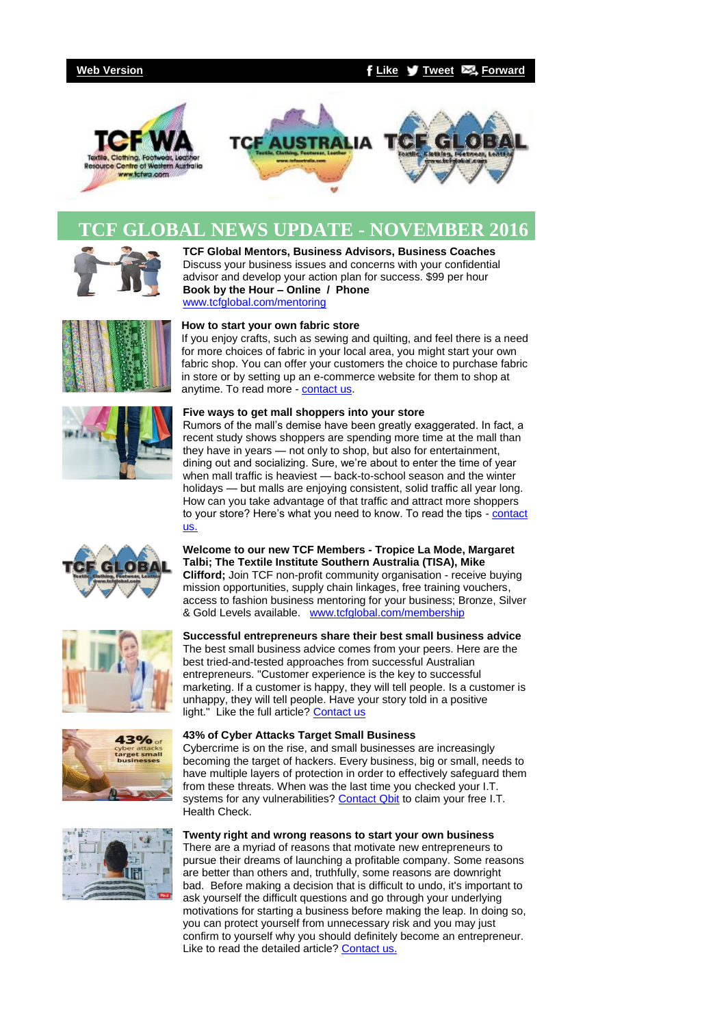# **[Web Version](http://bbec.bridgewaymailer.com/t/j-e-ulbby-l-y/) [Like](http://bbec.createsend.com/t/j-fb-ulbby-l-h/?act=wv) [Tweet](http://bbec.bridgewaymailer.com/t/j-tw-ulbby-l-u/) [Forward](http://belmontbec.forwardtomyfriend.com/j-l-2AD73FFF-ulbby-l-b)**



# **TCF GLOBAL NEWS UPDATE - NOVEMBER 2016**



www.fcfwa.com

**TCF Global Mentors, Business Advisors, Business Coaches**  Discuss your business issues and concerns with your confidential advisor and develop your action plan for success. \$99 per hour **Book by the Hour – Online / Phone** [www.tcfglobal.com/mentoring](http://bbec.bridgewaymailer.com/t/j-l-ulbby-l-p/)



## **How to start your own fabric store**

If you enjoy crafts, such as sewing and quilting, and feel there is a need for more choices of fabric in your local area, you might start your own fabric shop. You can offer your customers the choice to purchase fabric in store or by setting up an e-commerce website for them to shop at anytime. To read more - [contact us.](mailto:support@tcfwa.com?subject=Re%3A%20How%20to%20start%20your%20own%20fabric%20store)



#### **Five ways to get mall shoppers into your store**

Rumors of the mall's demise have been greatly exaggerated. In fact, a recent study shows shoppers are spending more time at the mall than they have in years — not only to shop, but also for entertainment, dining out and socializing. Sure, we're about to enter the time of year when mall traffic is heaviest — back-to-school season and the winter holidays — but malls are enjoying consistent, solid traffic all year long. How can you take advantage of that traffic and attract more shoppers to your store? Here's what you need to know. To read the tips - contact [us.](mailto:support@belmontbec.com?subject=Re%3A%20Five%20ways%20to%20get%20mall%20shoppers%20into%20your%20store)



**Welcome to our new TCF Members - Tropice La Mode, Margaret Talbi; The Textile Institute Southern Australia (TISA), Mike Clifford;** Join TCF non-profit community organisation - receive buying mission opportunities, supply chain linkages, free training vouchers, access to fashion business mentoring for your business; Bronze, Silver & Gold Levels available. [www.tcfglobal.com/membership](http://bbec.bridgewaymailer.com/t/j-l-ulbby-l-x/)

**Successful entrepreneurs share their best small business advice** The best small business advice comes from your peers. Here are the

marketing. If a customer is happy, they will tell people. Is a customer is







#### unhappy, they will tell people. Have your story told in a positive light." Like the full article? [Contact us](mailto:support@belmontbec.com?subject=Re%3ASuccessful%20entrepreneurs%20share%20their%20best%20small%20business%20advice)

best tried-and-tested approaches from successful Australian entrepreneurs. "Customer experience is the key to successful

#### **43% of Cyber Attacks Target Small Business**

Cybercrime is on the rise, and small businesses are increasingly becoming the target of hackers. Every business, big or small, needs to have multiple layers of protection in order to effectively safeguard them from these threats. When was the last time you checked your I.T. systems for any vulnerabilities? [Contact Qbit](mailto:support@belmontbec.com?subject=Re%3A%20Contact%20Qbit%20to%20claim%20your%20free%20I.T.%20Health%20Check.) to claim your free I.T. Health Check.

### **Twenty right and wrong reasons to start your own business**

There are a myriad of reasons that motivate new entrepreneurs to pursue their dreams of launching a profitable company. Some reasons are better than others and, truthfully, some reasons are downright bad. Before making a decision that is difficult to undo, it's important to ask yourself the difficult questions and go through your underlying motivations for starting a business before making the leap. In doing so, you can protect yourself from unnecessary risk and you may just confirm to yourself why you should definitely become an entrepreneur. Like to read the detailed article? [Contact us.](mailto:support@belmontbec.com?subject=Re%3A%20Twenty%20right%20and%20wrong%20reasons%20to%20start%20your%20own%20business)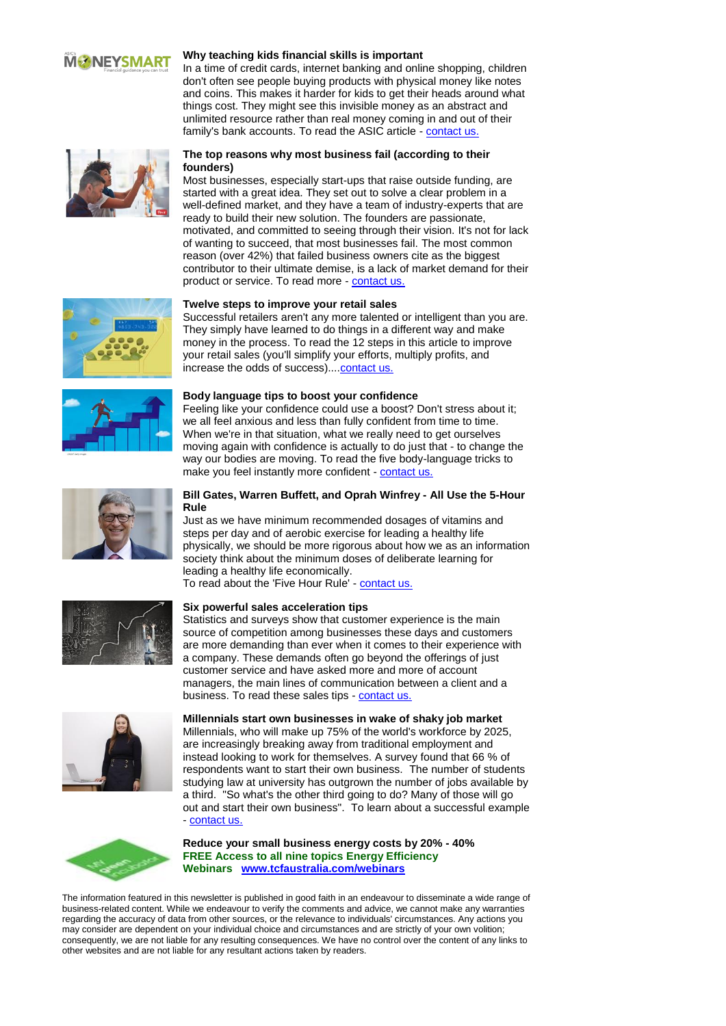# **MONEYSMART**

#### **Why teaching kids financial skills is important**

In a time of credit cards, internet banking and online shopping, children don't often see people buying products with physical money like notes and coins. This makes it harder for kids to get their heads around what things cost. They might see this invisible money as an abstract and unlimited resource rather than real money coming in and out of their family's bank accounts. To read the ASIC article - [contact us.](mailto:support@belmontbec.com?subject=Re%3A%20Why%20teaching%20kids%20financial%20skills%20is%20important)

## **The top reasons why most business fail (according to their founders)**

Most businesses, especially start-ups that raise outside funding, are started with a great idea. They set out to solve a clear problem in a well-defined market, and they have a team of industry-experts that are ready to build their new solution. The founders are passionate, motivated, and committed to seeing through their vision. It's not for lack of wanting to succeed, that most businesses fail. The most common reason (over 42%) that failed business owners cite as the biggest contributor to their ultimate demise, is a lack of market demand for their product or service. To read more - [contact us.](mailto:support@belmontbec.com?subject=Re%3A%20The%20top%20reasons%20why%20most%20business%20fail%20(according%20to%20their%20founders))

## **Twelve steps to improve your retail sales**

Successful retailers aren't any more talented or intelligent than you are. They simply have learned to do things in a different way and make money in the process. To read the 12 steps in this article to improve your retail sales (you'll simplify your efforts, multiply profits, and increase the odds of success)...[.contact us.](mailto:support@belmontbec.com?subject=Re%3A%20Twelve%20steps%20to%20improve%20your%20retail%20sales)





#### **Body language tips to boost your confidence**

Feeling like your confidence could use a boost? Don't stress about it; we all feel anxious and less than fully confident from time to time. When we're in that situation, what we really need to get ourselves moving again with confidence is actually to do just that - to change the way our bodies are moving. To read the five body-language tricks to make you feel instantly more confident - [contact us.](mailto:support@belmontbec.com?subject=Re%3A%20Body%20language%20tips%20to%20boost%20your%20confidence)

# **Bill Gates, Warren Buffett, and Oprah Winfrey - All Use the 5-Hour Rule**

Just as we have minimum recommended dosages of vitamins and steps per day and of aerobic exercise for leading a healthy life physically, we should be more rigorous about how we as an information society think about the minimum doses of deliberate learning for leading a healthy life economically.

To read about the 'Five Hour Rule' - [contact us.](mailto:support@belmontbec.com?subject=Re%3A%20Bill%20Gates%2C%20Warren%20Buffett%2C%20and%20Oprah%20Winfrey%20-%20All%20Use%20the%205-Hour%20Rule)

# **Six powerful sales acceleration tips**

Statistics and surveys show that customer experience is the main source of competition among businesses these days and customers are more demanding than ever when it comes to their experience with a company. These demands often go beyond the offerings of just customer service and have asked more and more of account managers, the main lines of communication between a client and a business. To read these sales tips - contact us



**Millennials start own businesses in wake of shaky job market** Millennials, who will make up 75% of the world's workforce by 2025, are increasingly breaking away from traditional employment and instead looking to work for themselves. A survey found that 66 % of respondents want to start their own business. The number of students studying law at university has outgrown the number of jobs available by a third. "So what's the other third going to do? Many of those will go out and start their own business". To learn about a successful example - [contact us.](mailto:support@belmontbec.com?subject=Re%3A%20Millennials%20start%20own%20businesses%20in%20wake%20of%20shaky%20job%20market)



#### **Reduce your small business energy costs by 20% - 40% FREE Access to all nine topics Energy Efficiency Webinars [www.tcfaustralia.com/webinars](http://bbec.bridgewaymailer.com/t/j-l-ulbby-l-m/)**

The information featured in this newsletter is published in good faith in an endeavour to disseminate a wide range of business-related content. While we endeavour to verify the comments and advice, we cannot make any warranties regarding the accuracy of data from other sources, or the relevance to individuals' circumstances. Any actions you may consider are dependent on your individual choice and circumstances and are strictly of your own volition; consequently, we are not liable for any resulting consequences. We have no control over the content of any links to other websites and are not liable for any resultant actions taken by readers.



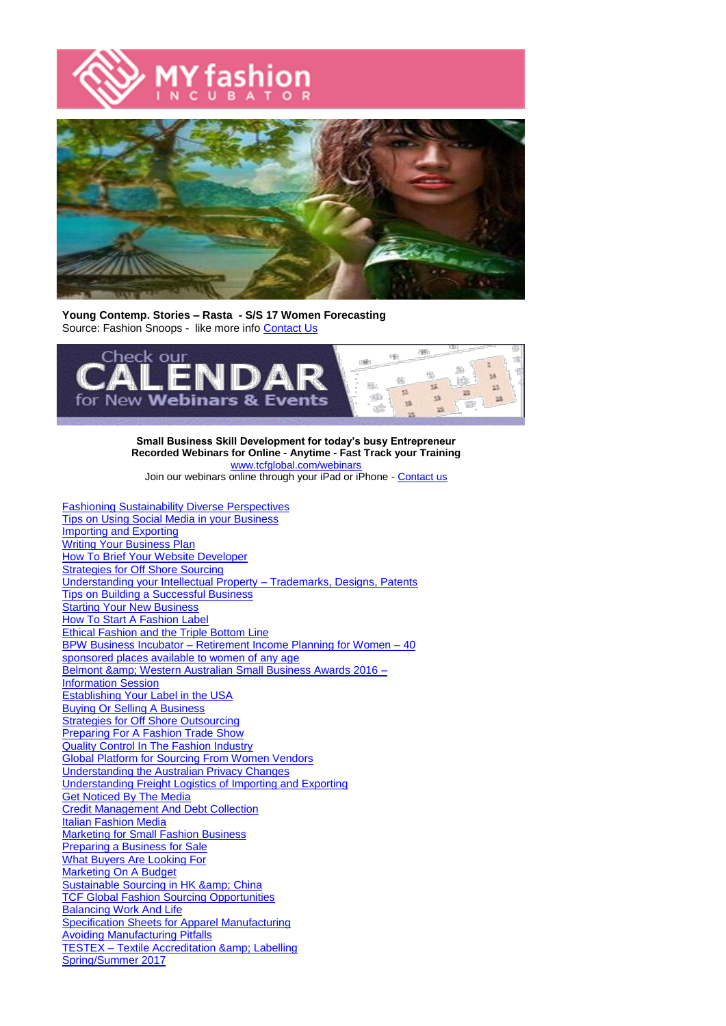



**Young Contemp. Stories – Rasta - S/S 17 Women Forecasting** Source: Fashion Snoops - like more info [Contact Us](mailto:support@tcfwa.com?subject=Re%3A%20Young%20Contemp.%20Stories%20%E2%80%93%20Rasta%20%20-%20S%2FS%2017%20Women%20Forecasting)



**Small Business Skill Development for today's busy Entrepreneur Recorded Webinars for Online - Anytime - Fast Track your Training** [www.tcfglobal.com/webinars](http://bbec.bridgewaymailer.com/t/j-l-ulbby-l-c/) Join our webinars online through your iPad or iPhone - [Contact us](mailto:support@belmontbec.com?subject=Question%20-%20how%20to%20access%20the%20webinar%20on%20iPad%20or%20iPhone)

[Fashioning Sustainability Diverse Perspectives](http://bbec.bridgewaymailer.com/t/j-l-ulbby-l-q/) [Tips on Using Social Media in your Business](http://bbec.bridgewaymailer.com/t/j-l-ulbby-l-q/) [Importing and Exporting](http://bbec.bridgewaymailer.com/t/j-l-ulbby-l-q/) [Writing Your Business Plan](http://bbec.bridgewaymailer.com/t/j-l-ulbby-l-q/) [How To Brief Your Website Developer](http://bbec.bridgewaymailer.com/t/j-l-ulbby-l-q/) **[Strategies for Off Shore Sourcing](http://bbec.bridgewaymailer.com/t/j-l-ulbby-l-q/)** [Understanding your Intellectual Property –](http://bbec.bridgewaymailer.com/t/j-l-ulbby-l-q/) Trademarks, Designs, Patents [Tips on Building a Successful Business](http://bbec.bridgewaymailer.com/t/j-l-ulbby-l-q/) **[Starting Your New Business](http://bbec.bridgewaymailer.com/t/j-l-ulbby-l-q/)** [How To Start A Fashion Label](http://bbec.bridgewaymailer.com/t/j-l-ulbby-l-q/) [Ethical Fashion and the Triple Bottom Line](http://bbec.bridgewaymailer.com/t/j-l-ulbby-l-q/) BPW Business Incubator – [Retirement Income Planning for Women –](http://bbec.bridgewaymailer.com/t/j-l-ulbby-l-q/) 40 [sponsored places available to women of any age](http://bbec.bridgewaymailer.com/t/j-l-ulbby-l-q/) Belmont & amp; Western Australian Small Business Awards 2016 -**[Information Session](http://bbec.bridgewaymailer.com/t/j-l-ulbby-l-q/)** [Establishing Your Label in the USA](http://bbec.bridgewaymailer.com/t/j-l-ulbby-l-q/) [Buying Or Selling A Business](http://bbec.bridgewaymailer.com/t/j-l-ulbby-l-q/) [Strategies for Off Shore Outsourcing](http://bbec.bridgewaymailer.com/t/j-l-ulbby-l-q/) **[Preparing For A Fashion Trade Show](http://bbec.bridgewaymailer.com/t/j-l-ulbby-l-q/)** [Quality Control In The Fashion Industry](http://bbec.bridgewaymailer.com/t/j-l-ulbby-l-q/) [Global Platform for Sourcing From Women Vendors](http://bbec.bridgewaymailer.com/t/j-l-ulbby-l-q/) [Understanding the Australian Privacy Changes](http://bbec.bridgewaymailer.com/t/j-l-ulbby-l-q/) [Understanding Freight Logistics of Importing and Exporting](http://bbec.bridgewaymailer.com/t/j-l-ulbby-l-q/) [Get Noticed By The Media](http://bbec.bridgewaymailer.com/t/j-l-ulbby-l-q/) [Credit Management And Debt Collection](http://bbec.bridgewaymailer.com/t/j-l-ulbby-l-q/) [Italian Fashion Media](http://bbec.bridgewaymailer.com/t/j-l-ulbby-l-q/) [Marketing for Small Fashion Business](http://bbec.bridgewaymailer.com/t/j-l-ulbby-l-q/) [Preparing a Business for Sale](http://bbec.bridgewaymailer.com/t/j-l-ulbby-l-q/) [What Buyers Are Looking For](http://bbec.bridgewaymailer.com/t/j-l-ulbby-l-q/) [Marketing On A Budget](http://bbec.bridgewaymailer.com/t/j-l-ulbby-l-q/) Sustainable Sourcing in HK & amp; China [TCF Global Fashion Sourcing Opportunities](http://bbec.bridgewaymailer.com/t/j-l-ulbby-l-q/) [Balancing Work And Life](http://bbec.bridgewaymailer.com/t/j-l-ulbby-l-q/) [Specification Sheets for Apparel Manufacturing](http://bbec.bridgewaymailer.com/t/j-l-ulbby-l-q/) [Avoiding Manufacturing Pitfalls](http://bbec.bridgewaymailer.com/t/j-l-ulbby-l-q/) **TESTEX - Textile Accreditation & amp; Labelling** [Spring/Summer 2017](http://bbec.bridgewaymailer.com/t/j-l-ulbby-l-q/)